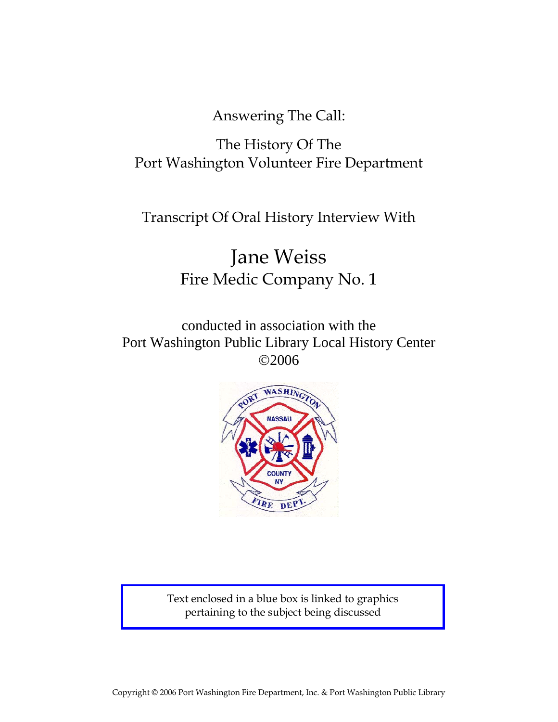Answering The Call:

## The History Of The Port Washington Volunteer Fire Department

Transcript Of Oral History Interview With

# Jane Weiss Fire Medic Company No. 1

conducted in association with the Port Washington Public Library Local History Center ©2006



Text enclosed in a blue box is linked to graphics pertaining to the subject being discussed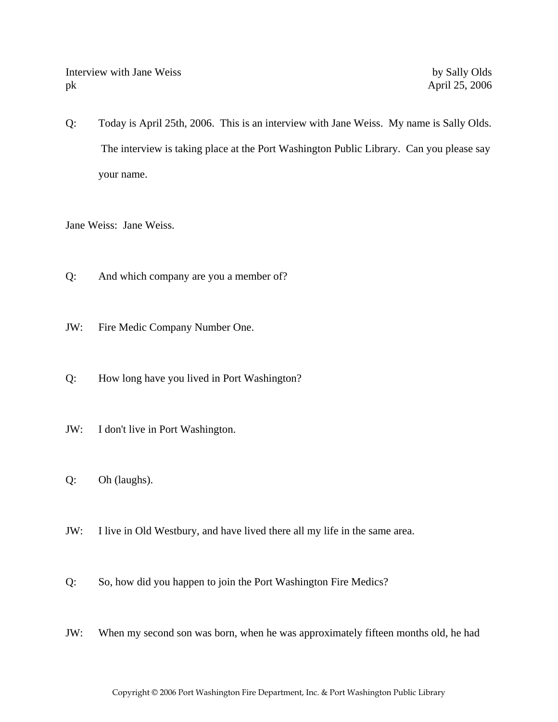Interview with Jane Weiss by Sally Olds pk April 25, 2006

Q: Today is April 25th, 2006. This is an interview with Jane Weiss. My name is Sally Olds. The interview is taking place at the Port Washington Public Library. Can you please say your name.

Jane Weiss: Jane Weiss.

- Q: And which company are you a member of?
- JW: Fire Medic Company Number One.
- Q: How long have you lived in Port Washington?
- JW: I don't live in Port Washington.
- Q: Oh (laughs).
- JW: I live in Old Westbury, and have lived there all my life in the same area.
- Q: So, how did you happen to join the Port Washington Fire Medics?
- JW: When my second son was born, when he was approximately fifteen months old, he had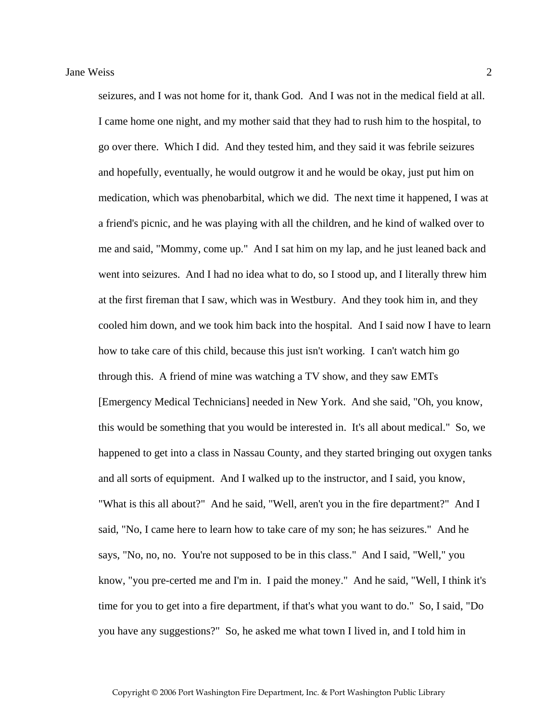Jane Weiss 2 seizures, and I was not home for it, thank God. And I was not in the medical field at all. I came home one night, and my mother said that they had to rush him to the hospital, to go over there. Which I did. And they tested him, and they said it was febrile seizures and hopefully, eventually, he would outgrow it and he would be okay, just put him on medication, which was phenobarbital, which we did. The next time it happened, I was at a friend's picnic, and he was playing with all the children, and he kind of walked over to me and said, "Mommy, come up." And I sat him on my lap, and he just leaned back and went into seizures. And I had no idea what to do, so I stood up, and I literally threw him at the first fireman that I saw, which was in Westbury. And they took him in, and they cooled him down, and we took him back into the hospital. And I said now I have to learn how to take care of this child, because this just isn't working. I can't watch him go through this. A friend of mine was watching a TV show, and they saw EMTs

[Emergency Medical Technicians] needed in New York. And she said, "Oh, you know, this would be something that you would be interested in. It's all about medical." So, we happened to get into a class in Nassau County, and they started bringing out oxygen tanks and all sorts of equipment. And I walked up to the instructor, and I said, you know, "What is this all about?" And he said, "Well, aren't you in the fire department?" And I said, "No, I came here to learn how to take care of my son; he has seizures." And he says, "No, no, no. You're not supposed to be in this class." And I said, "Well," you know, "you pre-certed me and I'm in. I paid the money." And he said, "Well, I think it's time for you to get into a fire department, if that's what you want to do." So, I said, "Do you have any suggestions?" So, he asked me what town I lived in, and I told him in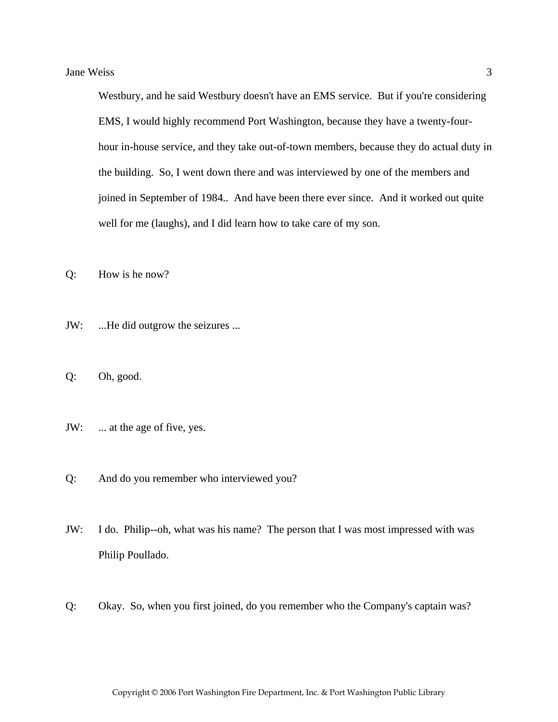Westbury, and he said Westbury doesn't have an EMS service. But if you're considering EMS, I would highly recommend Port Washington, because they have a twenty-fourhour in-house service, and they take out-of-town members, because they do actual duty in the building. So, I went down there and was interviewed by one of the members and joined in September of 1984.. And have been there ever since. And it worked out quite well for me (laughs), and I did learn how to take care of my son.

Q: How is he now?

- JW: ...He did outgrow the seizures ...
- Q: Oh, good.
- JW: ... at the age of five, yes.
- Q: And do you remember who interviewed you?
- JW: I do. Philip--oh, what was his name? The person that I was most impressed with was Philip Poullado.
- Q: Okay. So, when you first joined, do you remember who the Company's captain was?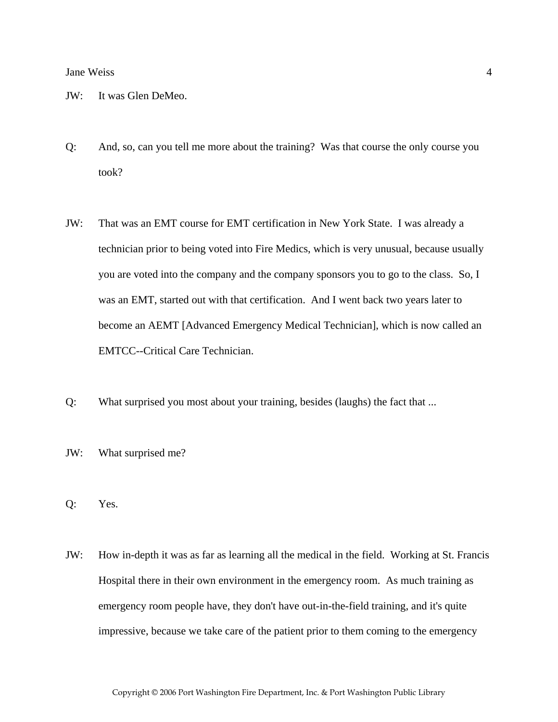- JW: It was Glen DeMeo.
- Q: And, so, can you tell me more about the training? Was that course the only course you took?
- JW: That was an EMT course for EMT certification in New York State. I was already a technician prior to being voted into Fire Medics, which is very unusual, because usually you are voted into the company and the company sponsors you to go to the class. So, I was an EMT, started out with that certification. And I went back two years later to become an AEMT [Advanced Emergency Medical Technician], which is now called an EMTCC--Critical Care Technician.
- Q: What surprised you most about your training, besides (laughs) the fact that ...
- JW: What surprised me?
- Q: Yes.
- JW: How in-depth it was as far as learning all the medical in the field. Working at St. Francis Hospital there in their own environment in the emergency room. As much training as emergency room people have, they don't have out-in-the-field training, and it's quite impressive, because we take care of the patient prior to them coming to the emergency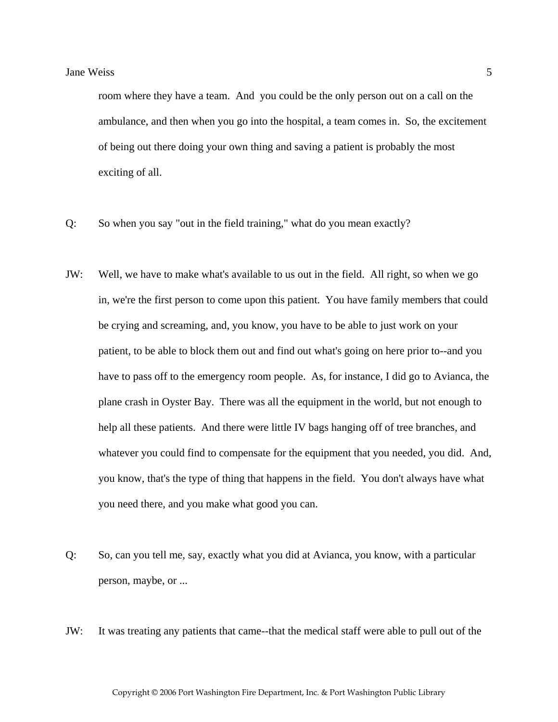room where they have a team. And you could be the only person out on a call on the ambulance, and then when you go into the hospital, a team comes in. So, the excitement of being out there doing your own thing and saving a patient is probably the most exciting of all.

- Q: So when you say "out in the field training," what do you mean exactly?
- JW: Well, we have to make what's available to us out in the field. All right, so when we go in, we're the first person to come upon this patient. You have family members that could be crying and screaming, and, you know, you have to be able to just work on your patient, to be able to block them out and find out what's going on here prior to--and you have to pass off to the emergency room people. As, for instance, I did go to Avianca, the plane crash in Oyster Bay. There was all the equipment in the world, but not enough to help all these patients. And there were little IV bags hanging off of tree branches, and whatever you could find to compensate for the equipment that you needed, you did. And, you know, that's the type of thing that happens in the field. You don't always have what you need there, and you make what good you can.
- Q: So, can you tell me, say, exactly what you did at Avianca, you know, with a particular person, maybe, or ...
- JW: It was treating any patients that came--that the medical staff were able to pull out of the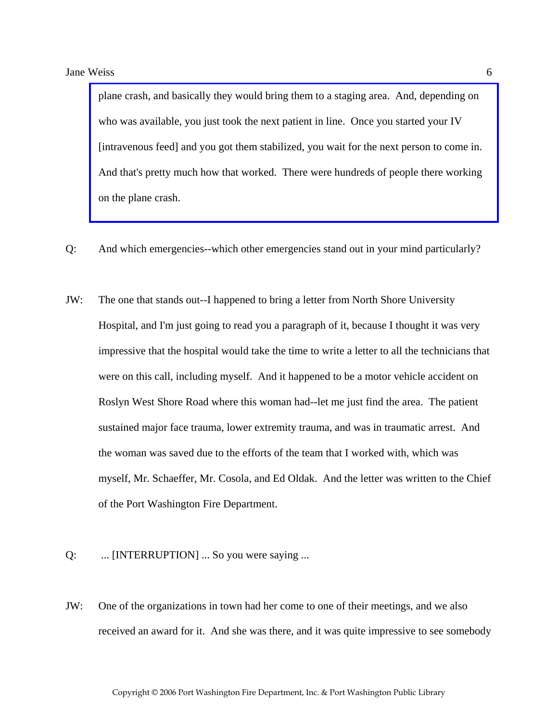plane crash, and basically they would bring them to a staging area. And, depending on who was available, you just took the next patient in line. Once you started your IV [intravenous feed] and you got them stabilized, you wait for the next person to come in. [And that's pretty much how that worked. There were hundreds of people there working](http://www.pwfdhistory.com/trans/weissj_trans/pnews_avianca_pz.pdf)  on the plane crash.

- Q: And which emergencies--which other emergencies stand out in your mind particularly?
- JW: The one that stands out--I happened to bring a letter from North Shore University Hospital, and I'm just going to read you a paragraph of it, because I thought it was very impressive that the hospital would take the time to write a letter to all the technicians that were on this call, including myself. And it happened to be a motor vehicle accident on Roslyn West Shore Road where this woman had--let me just find the area. The patient sustained major face trauma, lower extremity trauma, and was in traumatic arrest. And the woman was saved due to the efforts of the team that I worked with, which was myself, Mr. Schaeffer, Mr. Cosola, and Ed Oldak. And the letter was written to the Chief of the Port Washington Fire Department.
- Q: ... [INTERRUPTION] ... So you were saying ...
- JW: One of the organizations in town had her come to one of their meetings, and we also received an award for it. And she was there, and it was quite impressive to see somebody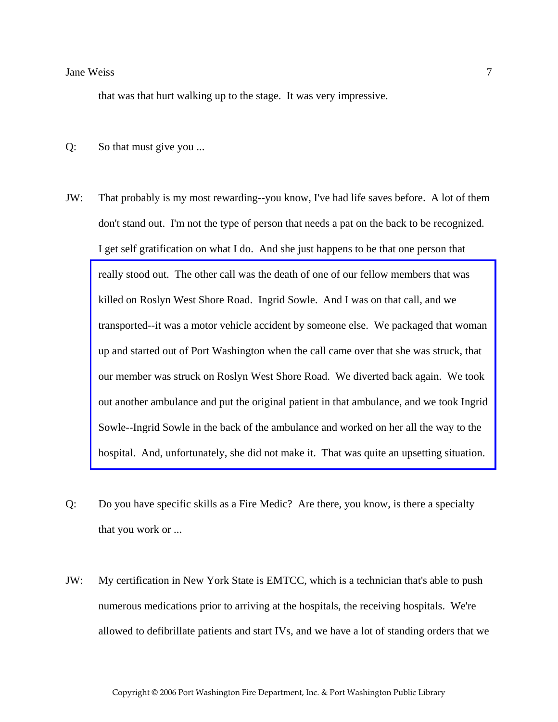that was that hurt walking up to the stage. It was very impressive.

- Q: So that must give you ...
- JW: That probably is my most rewarding--you know, I've had life saves before. A lot of them don't stand out. I'm not the type of person that needs a pat on the back to be recognized. I get self gratification on what I do. And she just happens to be that one person that really stood out. The other call was the death of one of our fellow members that was killed on Roslyn West Shore Road. Ingrid Sowle. And I was on that call, and we transported--it was a motor vehicle accident by someone else. We packaged that woman up and started out of Port Washington when the call came over that she was struck, that our member was struck on Roslyn West Shore Road. We diverted back again. We took [out another ambulance and put the original patient in that ambulance, and we took Ingrid](http://www.pwfdhistory.com/trans/weissj_trans/sowle_pz.pdf)  Sowle--Ingrid Sowle in the back of the ambulance and worked on her all the way to the hospital. And, unfortunately, she did not make it. That was quite an upsetting situation.
- Q: Do you have specific skills as a Fire Medic? Are there, you know, is there a specialty that you work or ...
- JW: My certification in New York State is EMTCC, which is a technician that's able to push numerous medications prior to arriving at the hospitals, the receiving hospitals. We're allowed to defibrillate patients and start IVs, and we have a lot of standing orders that we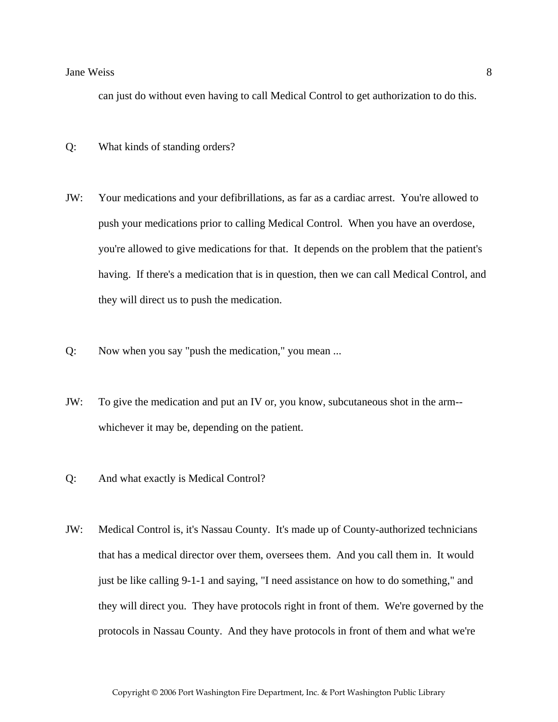can just do without even having to call Medical Control to get authorization to do this.

- Q: What kinds of standing orders?
- JW: Your medications and your defibrillations, as far as a cardiac arrest. You're allowed to push your medications prior to calling Medical Control. When you have an overdose, you're allowed to give medications for that. It depends on the problem that the patient's having. If there's a medication that is in question, then we can call Medical Control, and they will direct us to push the medication.
- Q: Now when you say "push the medication," you mean ...
- JW: To give the medication and put an IV or, you know, subcutaneous shot in the arm- whichever it may be, depending on the patient.
- Q: And what exactly is Medical Control?
- JW: Medical Control is, it's Nassau County. It's made up of County-authorized technicians that has a medical director over them, oversees them. And you call them in. It would just be like calling 9-1-1 and saying, "I need assistance on how to do something," and they will direct you. They have protocols right in front of them. We're governed by the protocols in Nassau County. And they have protocols in front of them and what we're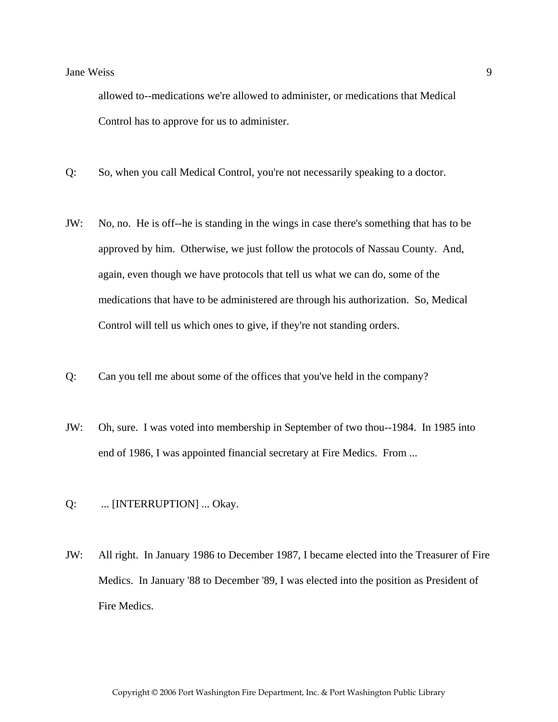allowed to--medications we're allowed to administer, or medications that Medical Control has to approve for us to administer.

- Q: So, when you call Medical Control, you're not necessarily speaking to a doctor.
- JW: No, no. He is off--he is standing in the wings in case there's something that has to be approved by him. Otherwise, we just follow the protocols of Nassau County. And, again, even though we have protocols that tell us what we can do, some of the medications that have to be administered are through his authorization. So, Medical Control will tell us which ones to give, if they're not standing orders.
- Q: Can you tell me about some of the offices that you've held in the company?
- JW: Oh, sure. I was voted into membership in September of two thou--1984. In 1985 into end of 1986, I was appointed financial secretary at Fire Medics. From ...
- Q: ... [INTERRUPTION] ... Okay.
- JW: All right. In January 1986 to December 1987, I became elected into the Treasurer of Fire Medics. In January '88 to December '89, I was elected into the position as President of Fire Medics.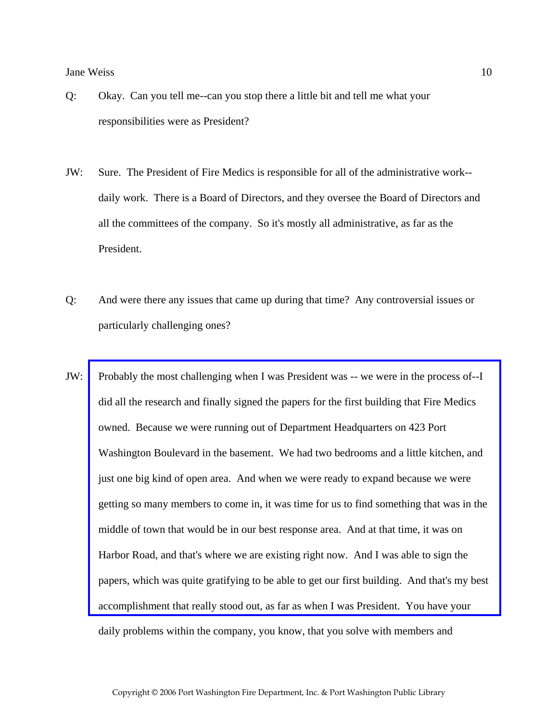- Q: Okay. Can you tell me--can you stop there a little bit and tell me what your responsibilities were as President?
- JW: Sure. The President of Fire Medics is responsible for all of the administrative work- daily work. There is a Board of Directors, and they oversee the Board of Directors and all the committees of the company. So it's mostly all administrative, as far as the President.
- Q: And were there any issues that came up during that time? Any controversial issues or particularly challenging ones?
- JW: [Probably the most challenging when I was President was -- we were in the process of--I](http://www.pwfdhistory.com/trans/weissj_trans/fmco_vehicles05_web.jpg)  did all the research and finally signed the papers for the first building that Fire Medics owned. Because we were running out of Department Headquarters on 423 Port Washington Boulevard in the basement. We had two bedrooms and a little kitchen, and just one big kind of open area. And when we were ready to expand because we were getting so many members to come in, it was time for us to find something that was in the middle of town that would be in our best response area. And at that time, it was on Harbor Road, and that's where we are existing right now. And I was able to sign the papers, which was quite gratifying to be able to get our first building. And that's my best accomplishment that really stood out, as far as when I was President. You have your daily problems within the company, you know, that you solve with members and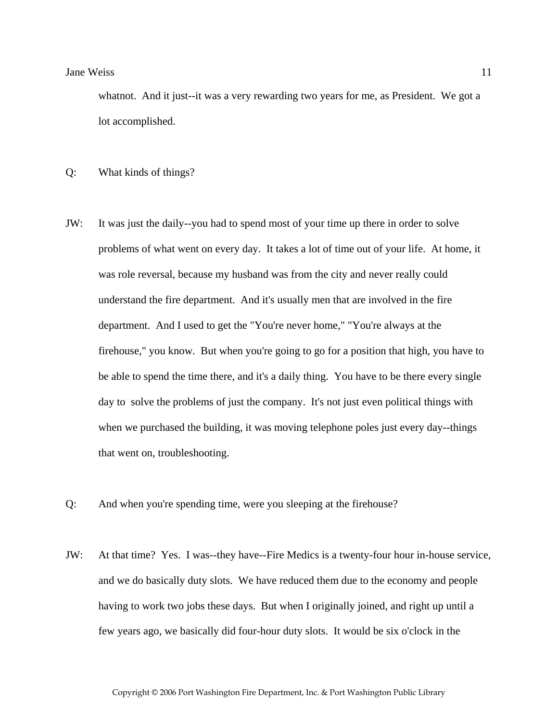whatnot. And it just--it was a very rewarding two years for me, as President. We got a lot accomplished.

Q: What kinds of things?

- JW: It was just the daily--you had to spend most of your time up there in order to solve problems of what went on every day. It takes a lot of time out of your life. At home, it was role reversal, because my husband was from the city and never really could understand the fire department. And it's usually men that are involved in the fire department. And I used to get the "You're never home," "You're always at the firehouse," you know. But when you're going to go for a position that high, you have to be able to spend the time there, and it's a daily thing. You have to be there every single day to solve the problems of just the company. It's not just even political things with when we purchased the building, it was moving telephone poles just every day--things that went on, troubleshooting.
- Q: And when you're spending time, were you sleeping at the firehouse?
- JW: At that time? Yes. I was--they have--Fire Medics is a twenty-four hour in-house service, and we do basically duty slots. We have reduced them due to the economy and people having to work two jobs these days. But when I originally joined, and right up until a few years ago, we basically did four-hour duty slots. It would be six o'clock in the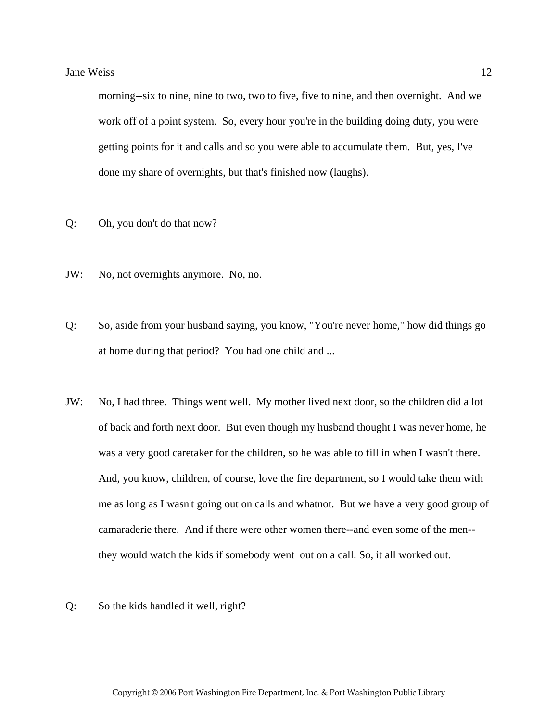morning--six to nine, nine to two, two to five, five to nine, and then overnight. And we work off of a point system. So, every hour you're in the building doing duty, you were getting points for it and calls and so you were able to accumulate them. But, yes, I've done my share of overnights, but that's finished now (laughs).

- Q: Oh, you don't do that now?
- JW: No, not overnights anymore. No, no.
- Q: So, aside from your husband saying, you know, "You're never home," how did things go at home during that period? You had one child and ...
- JW: No, I had three. Things went well. My mother lived next door, so the children did a lot of back and forth next door. But even though my husband thought I was never home, he was a very good caretaker for the children, so he was able to fill in when I wasn't there. And, you know, children, of course, love the fire department, so I would take them with me as long as I wasn't going out on calls and whatnot. But we have a very good group of camaraderie there. And if there were other women there--and even some of the men- they would watch the kids if somebody went out on a call. So, it all worked out.
- Q: So the kids handled it well, right?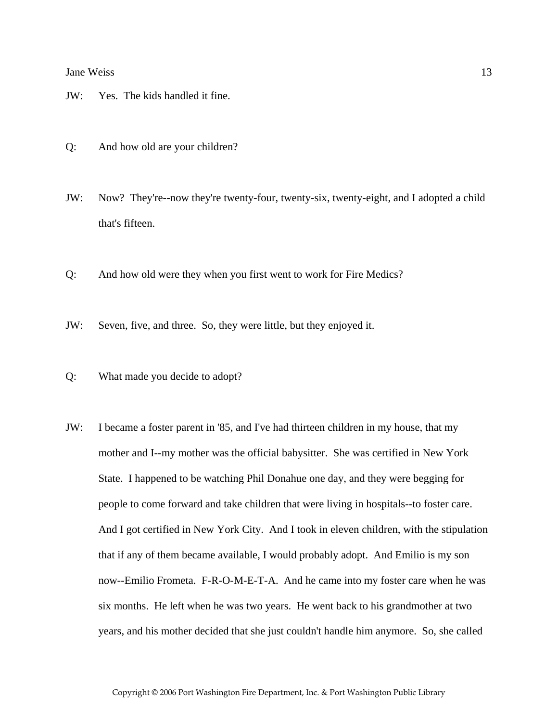- JW: Yes. The kids handled it fine.
- Q: And how old are your children?
- JW: Now? They're--now they're twenty-four, twenty-six, twenty-eight, and I adopted a child that's fifteen.
- Q: And how old were they when you first went to work for Fire Medics?
- JW: Seven, five, and three. So, they were little, but they enjoyed it.
- Q: What made you decide to adopt?
- JW: I became a foster parent in '85, and I've had thirteen children in my house, that my mother and I--my mother was the official babysitter. She was certified in New York State. I happened to be watching Phil Donahue one day, and they were begging for people to come forward and take children that were living in hospitals--to foster care. And I got certified in New York City. And I took in eleven children, with the stipulation that if any of them became available, I would probably adopt. And Emilio is my son now--Emilio Frometa. F-R-O-M-E-T-A. And he came into my foster care when he was six months. He left when he was two years. He went back to his grandmother at two years, and his mother decided that she just couldn't handle him anymore. So, she called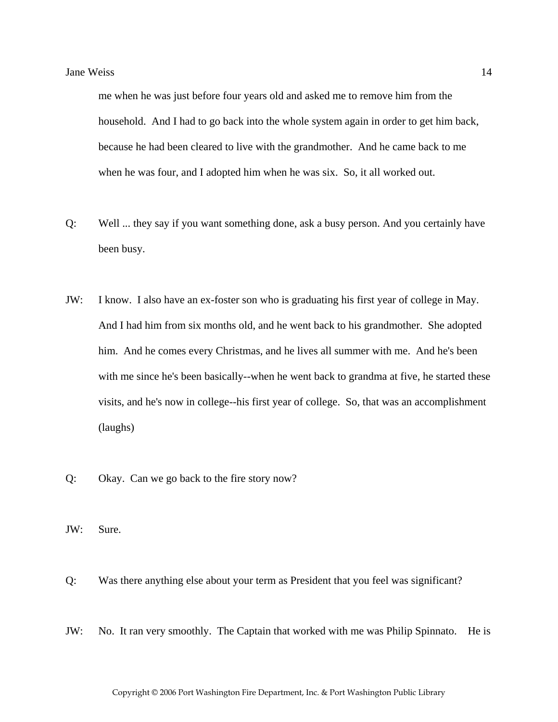me when he was just before four years old and asked me to remove him from the household. And I had to go back into the whole system again in order to get him back, because he had been cleared to live with the grandmother. And he came back to me when he was four, and I adopted him when he was six. So, it all worked out.

- Q: Well ... they say if you want something done, ask a busy person. And you certainly have been busy.
- JW: I know. I also have an ex-foster son who is graduating his first year of college in May. And I had him from six months old, and he went back to his grandmother. She adopted him. And he comes every Christmas, and he lives all summer with me. And he's been with me since he's been basically--when he went back to grandma at five, he started these visits, and he's now in college--his first year of college. So, that was an accomplishment (laughs)
- Q: Okay. Can we go back to the fire story now?
- JW: Sure.
- Q: Was there anything else about your term as President that you feel was significant?
- JW: No. It ran very smoothly. The Captain that worked with me was Philip Spinnato. He is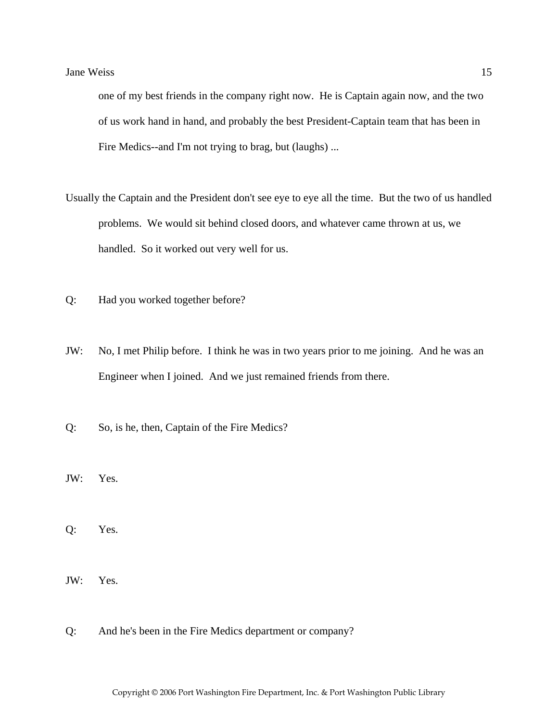one of my best friends in the company right now. He is Captain again now, and the two of us work hand in hand, and probably the best President-Captain team that has been in Fire Medics--and I'm not trying to brag, but (laughs) ...

- Usually the Captain and the President don't see eye to eye all the time. But the two of us handled problems. We would sit behind closed doors, and whatever came thrown at us, we handled. So it worked out very well for us.
- Q: Had you worked together before?
- JW: No, I met Philip before. I think he was in two years prior to me joining. And he was an Engineer when I joined. And we just remained friends from there.
- Q: So, is he, then, Captain of the Fire Medics?
- JW: Yes.
- Q: Yes.
- JW: Yes.
- Q: And he's been in the Fire Medics department or company?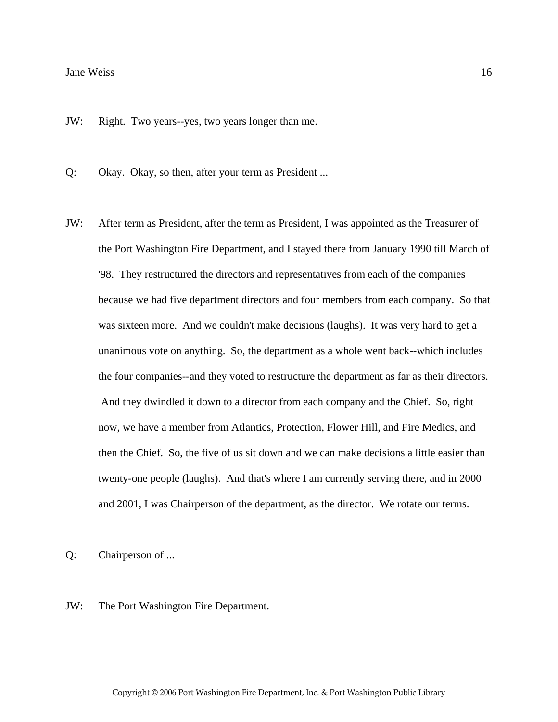JW: Right. Two years--yes, two years longer than me.

Q: Okay. Okay, so then, after your term as President ...

JW: After term as President, after the term as President, I was appointed as the Treasurer of the Port Washington Fire Department, and I stayed there from January 1990 till March of '98. They restructured the directors and representatives from each of the companies because we had five department directors and four members from each company. So that was sixteen more. And we couldn't make decisions (laughs). It was very hard to get a unanimous vote on anything. So, the department as a whole went back--which includes the four companies--and they voted to restructure the department as far as their directors. And they dwindled it down to a director from each company and the Chief. So, right now, we have a member from Atlantics, Protection, Flower Hill, and Fire Medics, and then the Chief. So, the five of us sit down and we can make decisions a little easier than twenty-one people (laughs). And that's where I am currently serving there, and in 2000 and 2001, I was Chairperson of the department, as the director. We rotate our terms.

Q: Chairperson of ...

JW: The Port Washington Fire Department.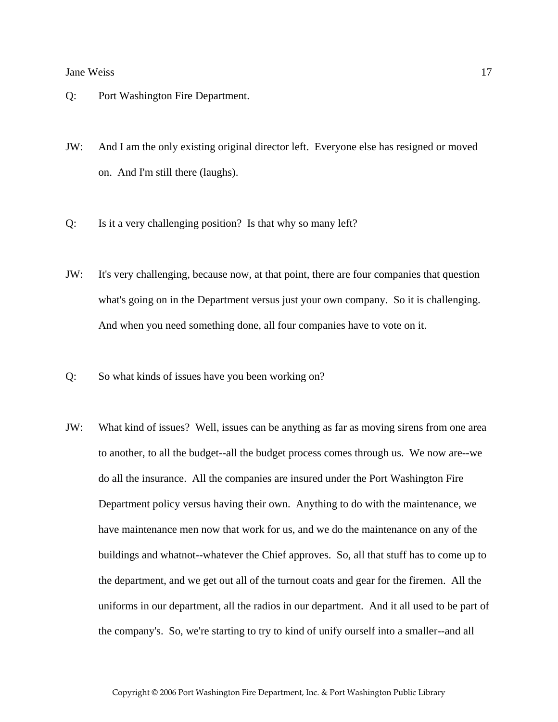- Q: Port Washington Fire Department.
- JW: And I am the only existing original director left. Everyone else has resigned or moved on. And I'm still there (laughs).
- Q: Is it a very challenging position? Is that why so many left?
- JW: It's very challenging, because now, at that point, there are four companies that question what's going on in the Department versus just your own company. So it is challenging. And when you need something done, all four companies have to vote on it.
- Q: So what kinds of issues have you been working on?
- JW: What kind of issues? Well, issues can be anything as far as moving sirens from one area to another, to all the budget--all the budget process comes through us. We now are--we do all the insurance. All the companies are insured under the Port Washington Fire Department policy versus having their own. Anything to do with the maintenance, we have maintenance men now that work for us, and we do the maintenance on any of the buildings and whatnot--whatever the Chief approves. So, all that stuff has to come up to the department, and we get out all of the turnout coats and gear for the firemen. All the uniforms in our department, all the radios in our department. And it all used to be part of the company's. So, we're starting to try to kind of unify ourself into a smaller--and all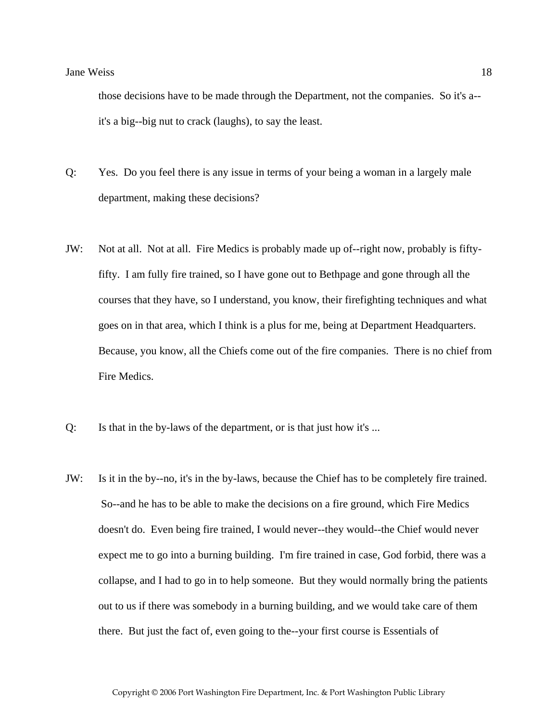those decisions have to be made through the Department, not the companies. So it's a- it's a big--big nut to crack (laughs), to say the least.

- Q: Yes. Do you feel there is any issue in terms of your being a woman in a largely male department, making these decisions?
- JW: Not at all. Not at all. Fire Medics is probably made up of--right now, probably is fiftyfifty. I am fully fire trained, so I have gone out to Bethpage and gone through all the courses that they have, so I understand, you know, their firefighting techniques and what goes on in that area, which I think is a plus for me, being at Department Headquarters. Because, you know, all the Chiefs come out of the fire companies. There is no chief from Fire Medics.
- Q: Is that in the by-laws of the department, or is that just how it's ...
- JW: Is it in the by--no, it's in the by-laws, because the Chief has to be completely fire trained. So--and he has to be able to make the decisions on a fire ground, which Fire Medics doesn't do. Even being fire trained, I would never--they would--the Chief would never expect me to go into a burning building. I'm fire trained in case, God forbid, there was a collapse, and I had to go in to help someone. But they would normally bring the patients out to us if there was somebody in a burning building, and we would take care of them there. But just the fact of, even going to the--your first course is Essentials of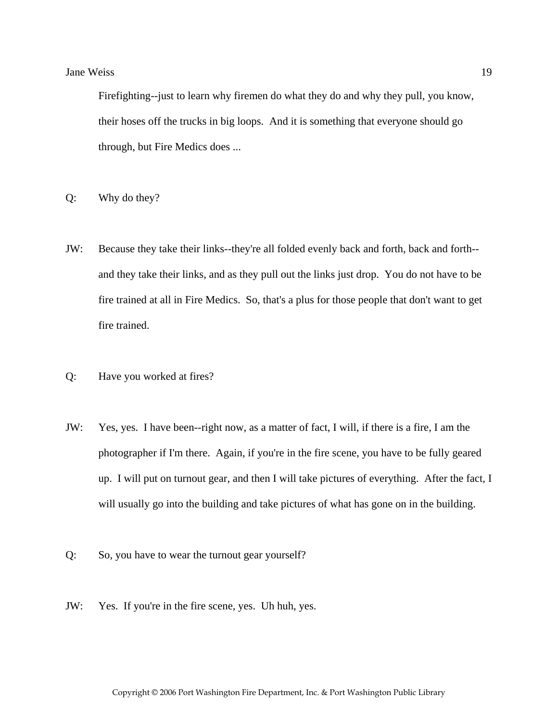Firefighting--just to learn why firemen do what they do and why they pull, you know, their hoses off the trucks in big loops. And it is something that everyone should go through, but Fire Medics does ...

- Q: Why do they?
- JW: Because they take their links--they're all folded evenly back and forth, back and forth- and they take their links, and as they pull out the links just drop. You do not have to be fire trained at all in Fire Medics. So, that's a plus for those people that don't want to get fire trained.
- Q: Have you worked at fires?
- JW: Yes, yes. I have been--right now, as a matter of fact, I will, if there is a fire, I am the photographer if I'm there. Again, if you're in the fire scene, you have to be fully geared up. I will put on turnout gear, and then I will take pictures of everything. After the fact, I will usually go into the building and take pictures of what has gone on in the building.
- Q: So, you have to wear the turnout gear yourself?
- JW: Yes. If you're in the fire scene, yes. Uh huh, yes.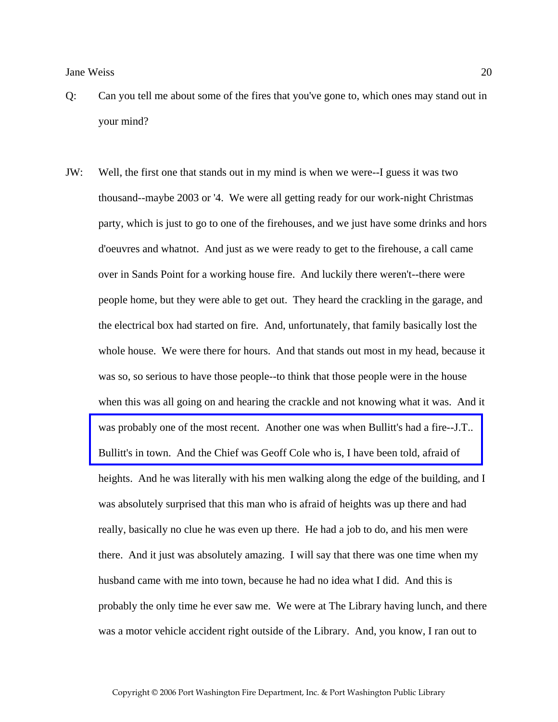- Q: Can you tell me about some of the fires that you've gone to, which ones may stand out in your mind?
- JW: Well, the first one that stands out in my mind is when we were--I guess it was two thousand--maybe 2003 or '4. We were all getting ready for our work-night Christmas party, which is just to go to one of the firehouses, and we just have some drinks and hors d'oeuvres and whatnot. And just as we were ready to get to the firehouse, a call came over in Sands Point for a working house fire. And luckily there weren't--there were people home, but they were able to get out. They heard the crackling in the garage, and the electrical box had started on fire. And, unfortunately, that family basically lost the whole house. We were there for hours. And that stands out most in my head, because it was so, so serious to have those people--to think that those people were in the house when this was all going on and hearing the crackle and not knowing what it was. And it was probably one of the most recent. Another one was when Bullitt's had a fire--J.T.. Bullitt's in town. And the Chief was Geoff Cole who is, I have been told, afraid of heights. And he was literally with his men walking along the edge of the building, and I was absolutely surprised that this man who is afraid of heights was up there and had really, basically no clue he was even up there. He had a job to do, and his men were there. And it just was absolutely amazing. I will say that there was one time when my husband came with me into town, because he had no idea what I did. And this is probably the only time he ever saw me. We were at The Library having lunch, and there was a motor vehicle accident right outside of the Library. And, you know, I ran out to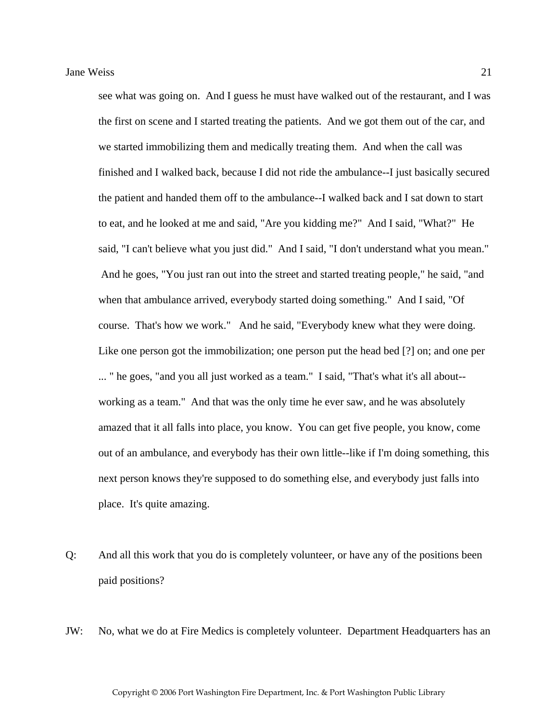see what was going on. And I guess he must have walked out of the restaurant, and I was the first on scene and I started treating the patients. And we got them out of the car, and we started immobilizing them and medically treating them. And when the call was finished and I walked back, because I did not ride the ambulance--I just basically secured the patient and handed them off to the ambulance--I walked back and I sat down to start to eat, and he looked at me and said, "Are you kidding me?" And I said, "What?" He said, "I can't believe what you just did." And I said, "I don't understand what you mean." And he goes, "You just ran out into the street and started treating people," he said, "and when that ambulance arrived, everybody started doing something." And I said, "Of course. That's how we work." And he said, "Everybody knew what they were doing. Like one person got the immobilization; one person put the head bed [?] on; and one per ... " he goes, "and you all just worked as a team." I said, "That's what it's all about- working as a team." And that was the only time he ever saw, and he was absolutely amazed that it all falls into place, you know. You can get five people, you know, come out of an ambulance, and everybody has their own little--like if I'm doing something, this next person knows they're supposed to do something else, and everybody just falls into place. It's quite amazing.

- Q: And all this work that you do is completely volunteer, or have any of the positions been paid positions?
- JW: No, what we do at Fire Medics is completely volunteer. Department Headquarters has an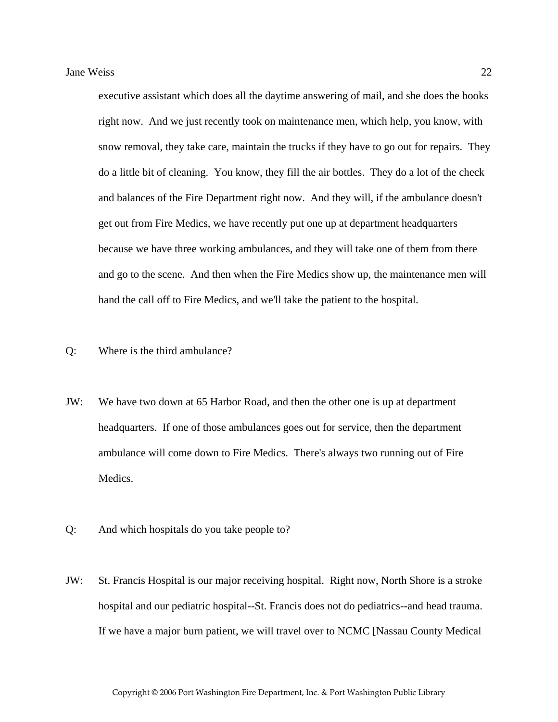executive assistant which does all the daytime answering of mail, and she does the books right now. And we just recently took on maintenance men, which help, you know, with snow removal, they take care, maintain the trucks if they have to go out for repairs. They do a little bit of cleaning. You know, they fill the air bottles. They do a lot of the check and balances of the Fire Department right now. And they will, if the ambulance doesn't get out from Fire Medics, we have recently put one up at department headquarters because we have three working ambulances, and they will take one of them from there and go to the scene. And then when the Fire Medics show up, the maintenance men will hand the call off to Fire Medics, and we'll take the patient to the hospital.

#### Q: Where is the third ambulance?

- JW: We have two down at 65 Harbor Road, and then the other one is up at department headquarters. If one of those ambulances goes out for service, then the department ambulance will come down to Fire Medics. There's always two running out of Fire Medics.
- Q: And which hospitals do you take people to?
- JW: St. Francis Hospital is our major receiving hospital. Right now, North Shore is a stroke hospital and our pediatric hospital--St. Francis does not do pediatrics--and head trauma. If we have a major burn patient, we will travel over to NCMC [Nassau County Medical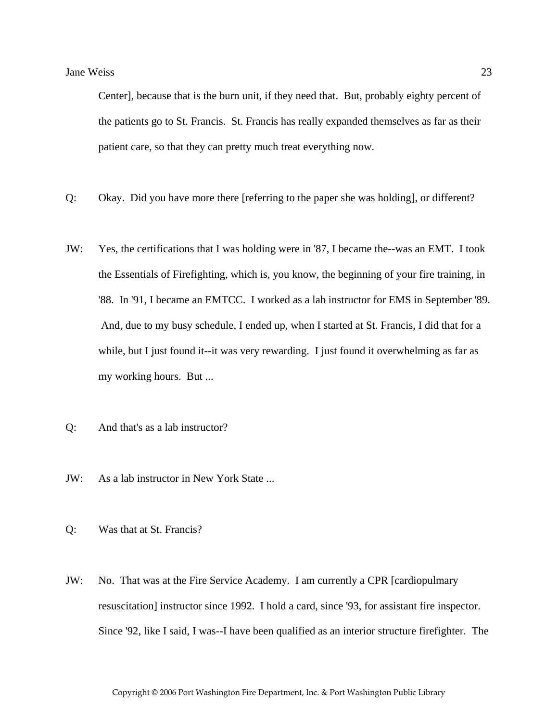Center], because that is the burn unit, if they need that. But, probably eighty percent of the patients go to St. Francis. St. Francis has really expanded themselves as far as their patient care, so that they can pretty much treat everything now.

- Q: Okay. Did you have more there [referring to the paper she was holding], or different?
- JW: Yes, the certifications that I was holding were in '87, I became the--was an EMT. I took the Essentials of Firefighting, which is, you know, the beginning of your fire training, in '88. In '91, I became an EMTCC. I worked as a lab instructor for EMS in September '89. And, due to my busy schedule, I ended up, when I started at St. Francis, I did that for a while, but I just found it--it was very rewarding. I just found it overwhelming as far as my working hours. But ...
- Q: And that's as a lab instructor?
- JW: As a lab instructor in New York State ...
- Q: Was that at St. Francis?
- JW: No. That was at the Fire Service Academy. I am currently a CPR [cardiopulmary resuscitation] instructor since 1992. I hold a card, since '93, for assistant fire inspector. Since '92, like I said, I was--I have been qualified as an interior structure firefighter. The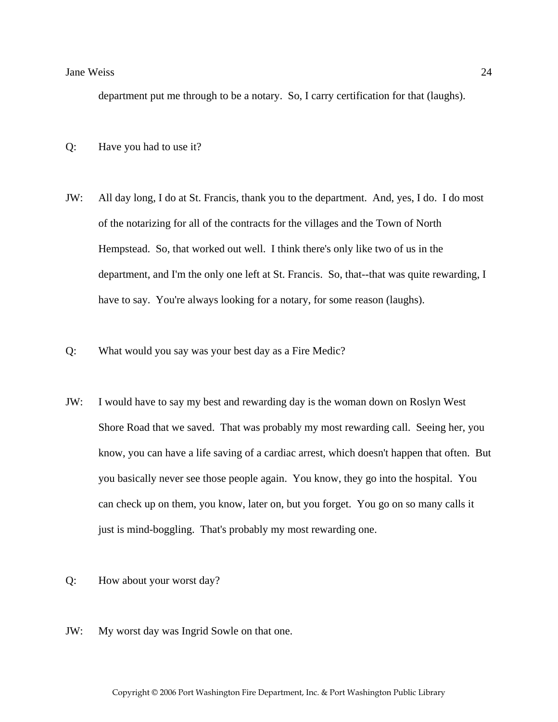department put me through to be a notary. So, I carry certification for that (laughs).

- Q: Have you had to use it?
- JW: All day long, I do at St. Francis, thank you to the department. And, yes, I do. I do most of the notarizing for all of the contracts for the villages and the Town of North Hempstead. So, that worked out well. I think there's only like two of us in the department, and I'm the only one left at St. Francis. So, that--that was quite rewarding, I have to say. You're always looking for a notary, for some reason (laughs).
- Q: What would you say was your best day as a Fire Medic?
- JW: I would have to say my best and rewarding day is the woman down on Roslyn West Shore Road that we saved. That was probably my most rewarding call. Seeing her, you know, you can have a life saving of a cardiac arrest, which doesn't happen that often. But you basically never see those people again. You know, they go into the hospital. You can check up on them, you know, later on, but you forget. You go on so many calls it just is mind-boggling. That's probably my most rewarding one.
- Q: How about your worst day?
- JW: My worst day was Ingrid Sowle on that one.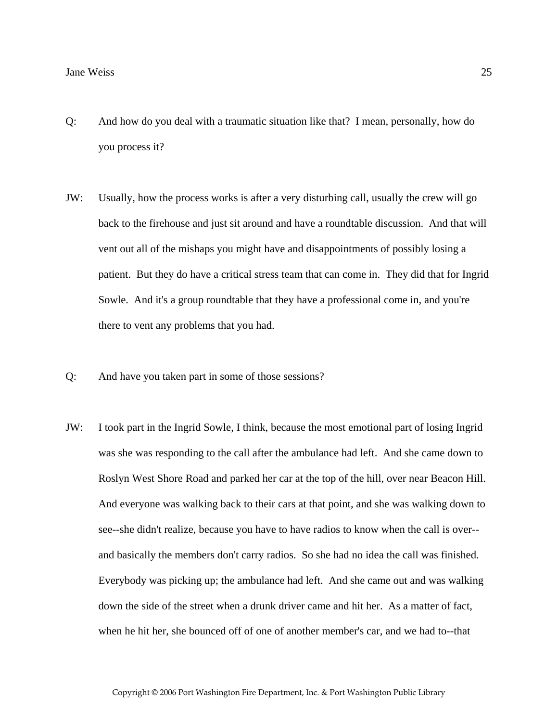- Q: And how do you deal with a traumatic situation like that? I mean, personally, how do you process it?
- JW: Usually, how the process works is after a very disturbing call, usually the crew will go back to the firehouse and just sit around and have a roundtable discussion. And that will vent out all of the mishaps you might have and disappointments of possibly losing a patient. But they do have a critical stress team that can come in. They did that for Ingrid Sowle. And it's a group roundtable that they have a professional come in, and you're there to vent any problems that you had.
- Q: And have you taken part in some of those sessions?
- JW: I took part in the Ingrid Sowle, I think, because the most emotional part of losing Ingrid was she was responding to the call after the ambulance had left. And she came down to Roslyn West Shore Road and parked her car at the top of the hill, over near Beacon Hill. And everyone was walking back to their cars at that point, and she was walking down to see--she didn't realize, because you have to have radios to know when the call is over- and basically the members don't carry radios. So she had no idea the call was finished. Everybody was picking up; the ambulance had left. And she came out and was walking down the side of the street when a drunk driver came and hit her. As a matter of fact, when he hit her, she bounced off of one of another member's car, and we had to--that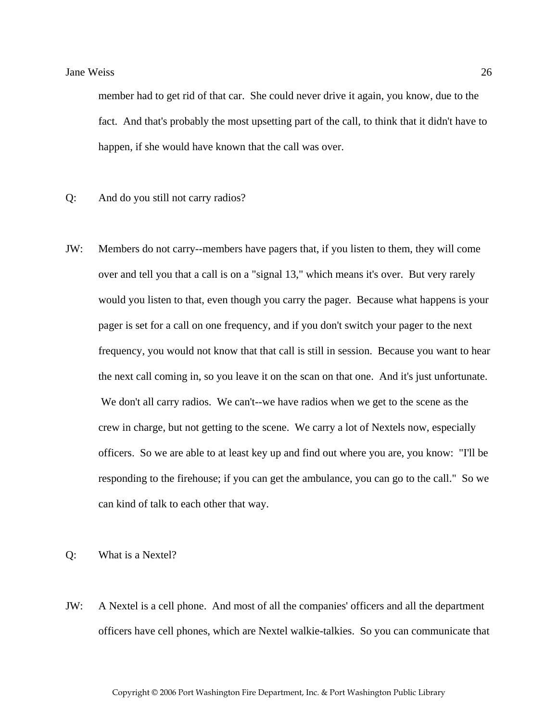member had to get rid of that car. She could never drive it again, you know, due to the fact. And that's probably the most upsetting part of the call, to think that it didn't have to happen, if she would have known that the call was over.

- Q: And do you still not carry radios?
- JW: Members do not carry--members have pagers that, if you listen to them, they will come over and tell you that a call is on a "signal 13," which means it's over. But very rarely would you listen to that, even though you carry the pager. Because what happens is your pager is set for a call on one frequency, and if you don't switch your pager to the next frequency, you would not know that that call is still in session. Because you want to hear the next call coming in, so you leave it on the scan on that one. And it's just unfortunate. We don't all carry radios. We can't--we have radios when we get to the scene as the crew in charge, but not getting to the scene. We carry a lot of Nextels now, especially officers. So we are able to at least key up and find out where you are, you know: "I'll be responding to the firehouse; if you can get the ambulance, you can go to the call." So we can kind of talk to each other that way.

Q: What is a Nextel?

JW: A Nextel is a cell phone. And most of all the companies' officers and all the department officers have cell phones, which are Nextel walkie-talkies. So you can communicate that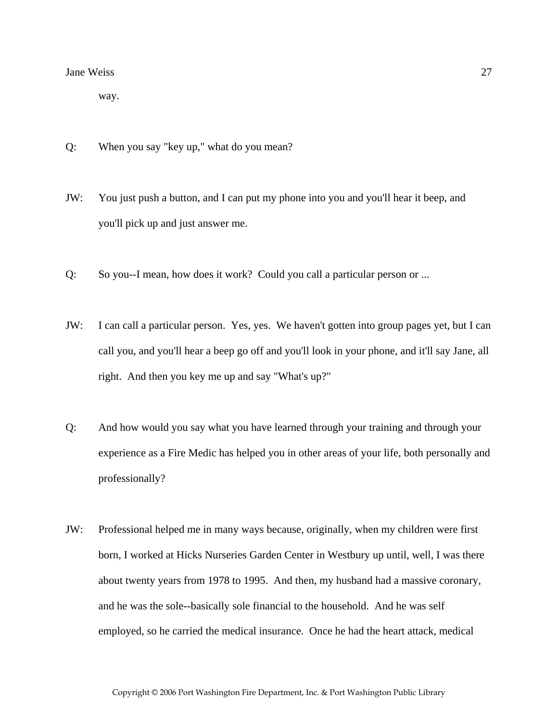way.

- Q: When you say "key up," what do you mean?
- JW: You just push a button, and I can put my phone into you and you'll hear it beep, and you'll pick up and just answer me.
- Q: So you--I mean, how does it work? Could you call a particular person or ...
- JW: I can call a particular person. Yes, yes. We haven't gotten into group pages yet, but I can call you, and you'll hear a beep go off and you'll look in your phone, and it'll say Jane, all right. And then you key me up and say "What's up?"
- Q: And how would you say what you have learned through your training and through your experience as a Fire Medic has helped you in other areas of your life, both personally and professionally?
- JW: Professional helped me in many ways because, originally, when my children were first born, I worked at Hicks Nurseries Garden Center in Westbury up until, well, I was there about twenty years from 1978 to 1995. And then, my husband had a massive coronary, and he was the sole--basically sole financial to the household. And he was self employed, so he carried the medical insurance. Once he had the heart attack, medical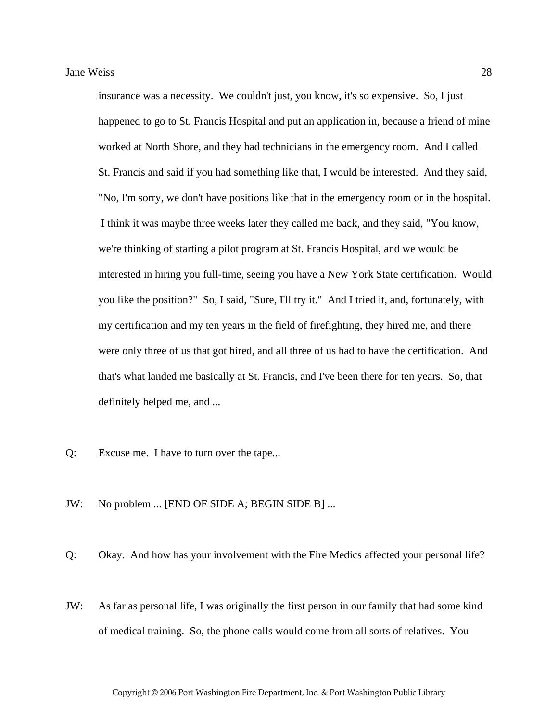insurance was a necessity. We couldn't just, you know, it's so expensive. So, I just happened to go to St. Francis Hospital and put an application in, because a friend of mine worked at North Shore, and they had technicians in the emergency room. And I called St. Francis and said if you had something like that, I would be interested. And they said, "No, I'm sorry, we don't have positions like that in the emergency room or in the hospital. I think it was maybe three weeks later they called me back, and they said, "You know, we're thinking of starting a pilot program at St. Francis Hospital, and we would be interested in hiring you full-time, seeing you have a New York State certification. Would you like the position?" So, I said, "Sure, I'll try it." And I tried it, and, fortunately, with my certification and my ten years in the field of firefighting, they hired me, and there were only three of us that got hired, and all three of us had to have the certification. And that's what landed me basically at St. Francis, and I've been there for ten years. So, that definitely helped me, and ...

- Q: Excuse me. I have to turn over the tape...
- JW: No problem ... [END OF SIDE A; BEGIN SIDE B] ...
- Q: Okay. And how has your involvement with the Fire Medics affected your personal life?
- JW: As far as personal life, I was originally the first person in our family that had some kind of medical training. So, the phone calls would come from all sorts of relatives. You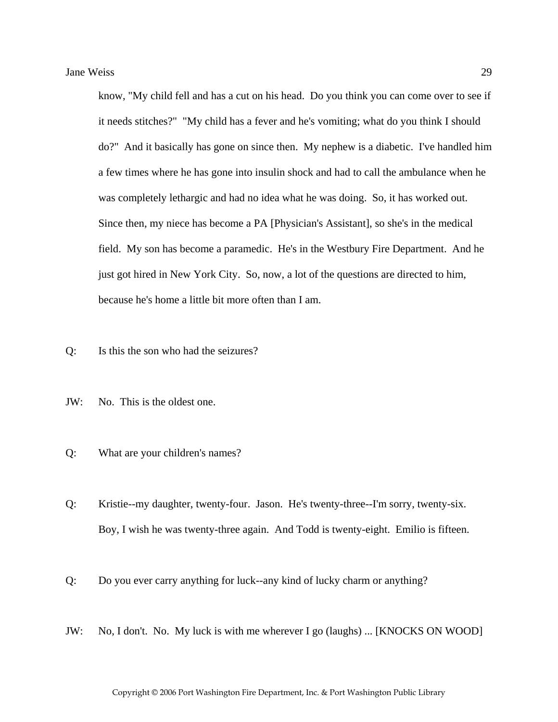know, "My child fell and has a cut on his head. Do you think you can come over to see if it needs stitches?" "My child has a fever and he's vomiting; what do you think I should do?" And it basically has gone on since then. My nephew is a diabetic. I've handled him a few times where he has gone into insulin shock and had to call the ambulance when he was completely lethargic and had no idea what he was doing. So, it has worked out. Since then, my niece has become a PA [Physician's Assistant], so she's in the medical field. My son has become a paramedic. He's in the Westbury Fire Department. And he just got hired in New York City. So, now, a lot of the questions are directed to him, because he's home a little bit more often than I am.

- Q: Is this the son who had the seizures?
- JW: No. This is the oldest one.
- Q: What are your children's names?
- Q: Kristie--my daughter, twenty-four. Jason. He's twenty-three--I'm sorry, twenty-six. Boy, I wish he was twenty-three again. And Todd is twenty-eight. Emilio is fifteen.
- Q: Do you ever carry anything for luck--any kind of lucky charm or anything?
- JW: No, I don't. No. My luck is with me wherever I go (laughs) ... [KNOCKS ON WOOD]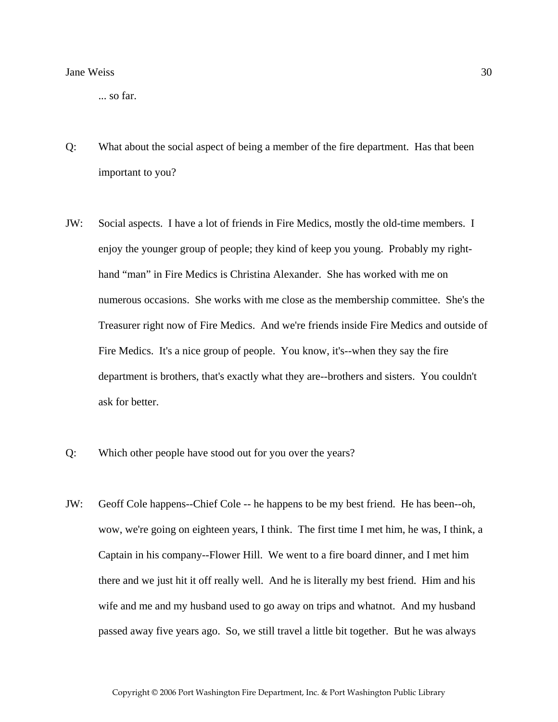... so far.

- Q: What about the social aspect of being a member of the fire department. Has that been important to you?
- JW: Social aspects. I have a lot of friends in Fire Medics, mostly the old-time members. I enjoy the younger group of people; they kind of keep you young. Probably my righthand "man" in Fire Medics is Christina Alexander. She has worked with me on numerous occasions. She works with me close as the membership committee. She's the Treasurer right now of Fire Medics. And we're friends inside Fire Medics and outside of Fire Medics. It's a nice group of people. You know, it's--when they say the fire department is brothers, that's exactly what they are--brothers and sisters. You couldn't ask for better.
- Q: Which other people have stood out for you over the years?
- JW: Geoff Cole happens--Chief Cole -- he happens to be my best friend. He has been--oh, wow, we're going on eighteen years, I think. The first time I met him, he was, I think, a Captain in his company--Flower Hill. We went to a fire board dinner, and I met him there and we just hit it off really well. And he is literally my best friend. Him and his wife and me and my husband used to go away on trips and whatnot. And my husband passed away five years ago. So, we still travel a little bit together. But he was always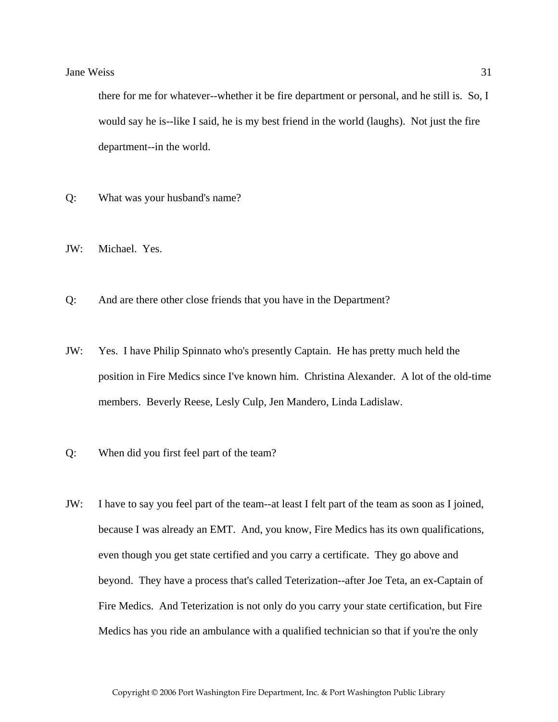there for me for whatever--whether it be fire department or personal, and he still is. So, I would say he is--like I said, he is my best friend in the world (laughs). Not just the fire department--in the world.

- Q: What was your husband's name?
- JW: Michael. Yes.
- Q: And are there other close friends that you have in the Department?
- JW: Yes. I have Philip Spinnato who's presently Captain. He has pretty much held the position in Fire Medics since I've known him. Christina Alexander. A lot of the old-time members. Beverly Reese, Lesly Culp, Jen Mandero, Linda Ladislaw.
- Q: When did you first feel part of the team?
- JW: I have to say you feel part of the team--at least I felt part of the team as soon as I joined, because I was already an EMT. And, you know, Fire Medics has its own qualifications, even though you get state certified and you carry a certificate. They go above and beyond. They have a process that's called Teterization--after Joe Teta, an ex-Captain of Fire Medics. And Teterization is not only do you carry your state certification, but Fire Medics has you ride an ambulance with a qualified technician so that if you're the only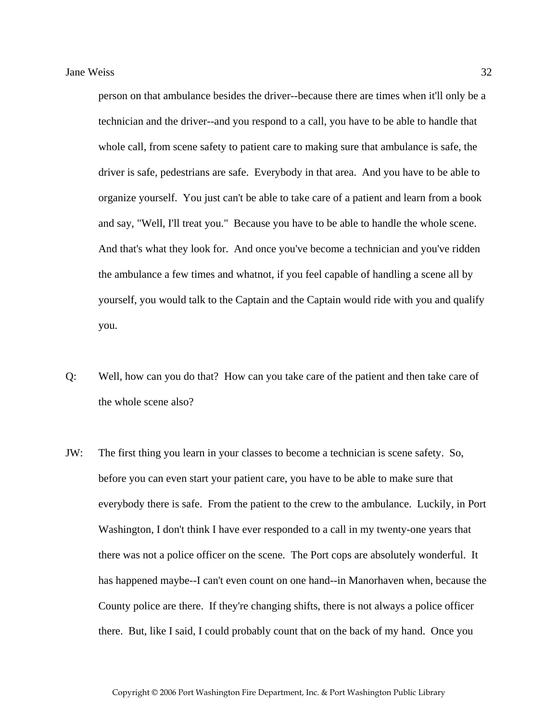person on that ambulance besides the driver--because there are times when it'll only be a technician and the driver--and you respond to a call, you have to be able to handle that whole call, from scene safety to patient care to making sure that ambulance is safe, the driver is safe, pedestrians are safe. Everybody in that area. And you have to be able to organize yourself. You just can't be able to take care of a patient and learn from a book and say, "Well, I'll treat you." Because you have to be able to handle the whole scene. And that's what they look for. And once you've become a technician and you've ridden the ambulance a few times and whatnot, if you feel capable of handling a scene all by yourself, you would talk to the Captain and the Captain would ride with you and qualify you.

- Q: Well, how can you do that? How can you take care of the patient and then take care of the whole scene also?
- JW: The first thing you learn in your classes to become a technician is scene safety. So, before you can even start your patient care, you have to be able to make sure that everybody there is safe. From the patient to the crew to the ambulance. Luckily, in Port Washington, I don't think I have ever responded to a call in my twenty-one years that there was not a police officer on the scene. The Port cops are absolutely wonderful. It has happened maybe--I can't even count on one hand--in Manorhaven when, because the County police are there. If they're changing shifts, there is not always a police officer there. But, like I said, I could probably count that on the back of my hand. Once you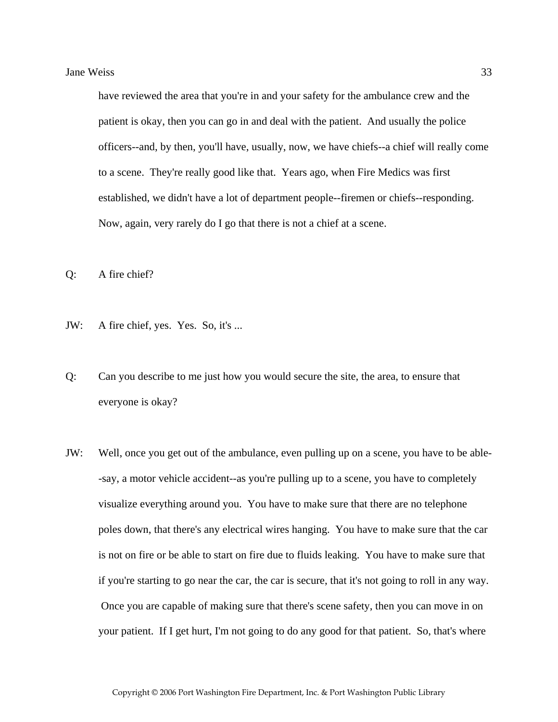have reviewed the area that you're in and your safety for the ambulance crew and the patient is okay, then you can go in and deal with the patient. And usually the police officers--and, by then, you'll have, usually, now, we have chiefs--a chief will really come to a scene. They're really good like that. Years ago, when Fire Medics was first established, we didn't have a lot of department people--firemen or chiefs--responding. Now, again, very rarely do I go that there is not a chief at a scene.

Q: A fire chief?

- JW: A fire chief, yes. Yes. So, it's ...
- Q: Can you describe to me just how you would secure the site, the area, to ensure that everyone is okay?
- JW: Well, once you get out of the ambulance, even pulling up on a scene, you have to be able- -say, a motor vehicle accident--as you're pulling up to a scene, you have to completely visualize everything around you. You have to make sure that there are no telephone poles down, that there's any electrical wires hanging. You have to make sure that the car is not on fire or be able to start on fire due to fluids leaking. You have to make sure that if you're starting to go near the car, the car is secure, that it's not going to roll in any way. Once you are capable of making sure that there's scene safety, then you can move in on your patient. If I get hurt, I'm not going to do any good for that patient. So, that's where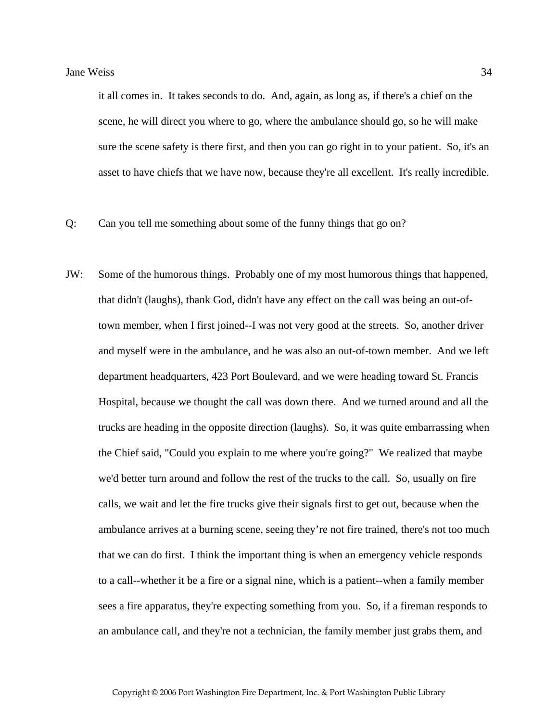it all comes in. It takes seconds to do. And, again, as long as, if there's a chief on the scene, he will direct you where to go, where the ambulance should go, so he will make sure the scene safety is there first, and then you can go right in to your patient. So, it's an asset to have chiefs that we have now, because they're all excellent. It's really incredible.

- Q: Can you tell me something about some of the funny things that go on?
- JW: Some of the humorous things. Probably one of my most humorous things that happened, that didn't (laughs), thank God, didn't have any effect on the call was being an out-oftown member, when I first joined--I was not very good at the streets. So, another driver and myself were in the ambulance, and he was also an out-of-town member. And we left department headquarters, 423 Port Boulevard, and we were heading toward St. Francis Hospital, because we thought the call was down there. And we turned around and all the trucks are heading in the opposite direction (laughs). So, it was quite embarrassing when the Chief said, "Could you explain to me where you're going?" We realized that maybe we'd better turn around and follow the rest of the trucks to the call. So, usually on fire calls, we wait and let the fire trucks give their signals first to get out, because when the ambulance arrives at a burning scene, seeing they're not fire trained, there's not too much that we can do first. I think the important thing is when an emergency vehicle responds to a call--whether it be a fire or a signal nine, which is a patient--when a family member sees a fire apparatus, they're expecting something from you. So, if a fireman responds to an ambulance call, and they're not a technician, the family member just grabs them, and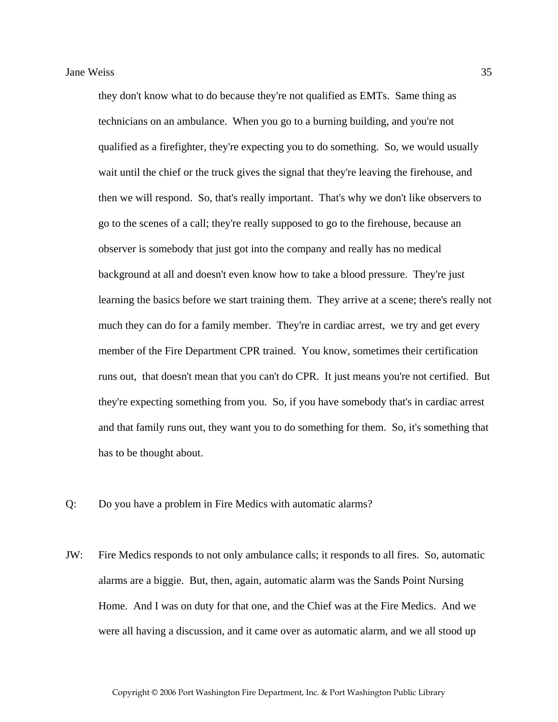they don't know what to do because they're not qualified as EMTs. Same thing as technicians on an ambulance. When you go to a burning building, and you're not qualified as a firefighter, they're expecting you to do something. So, we would usually wait until the chief or the truck gives the signal that they're leaving the firehouse, and then we will respond. So, that's really important. That's why we don't like observers to go to the scenes of a call; they're really supposed to go to the firehouse, because an observer is somebody that just got into the company and really has no medical background at all and doesn't even know how to take a blood pressure. They're just learning the basics before we start training them. They arrive at a scene; there's really not much they can do for a family member. They're in cardiac arrest, we try and get every member of the Fire Department CPR trained. You know, sometimes their certification runs out, that doesn't mean that you can't do CPR. It just means you're not certified. But they're expecting something from you. So, if you have somebody that's in cardiac arrest and that family runs out, they want you to do something for them. So, it's something that has to be thought about.

- Q: Do you have a problem in Fire Medics with automatic alarms?
- JW: Fire Medics responds to not only ambulance calls; it responds to all fires. So, automatic alarms are a biggie. But, then, again, automatic alarm was the Sands Point Nursing Home. And I was on duty for that one, and the Chief was at the Fire Medics. And we were all having a discussion, and it came over as automatic alarm, and we all stood up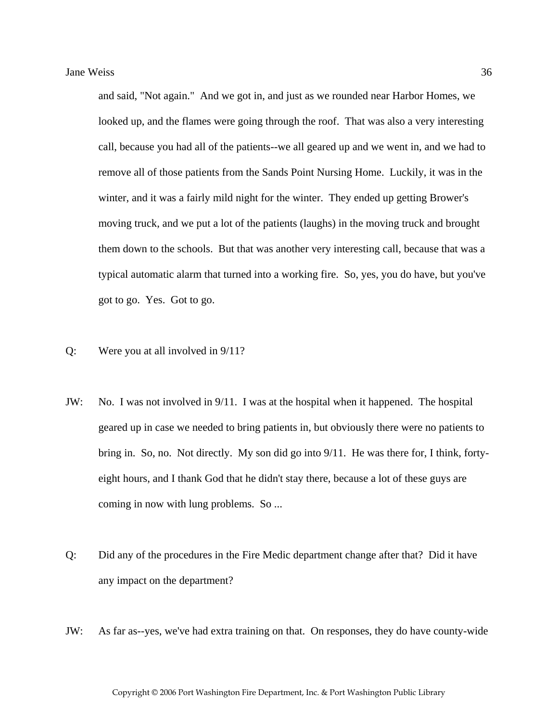and said, "Not again." And we got in, and just as we rounded near Harbor Homes, we looked up, and the flames were going through the roof. That was also a very interesting call, because you had all of the patients--we all geared up and we went in, and we had to remove all of those patients from the Sands Point Nursing Home. Luckily, it was in the winter, and it was a fairly mild night for the winter. They ended up getting Brower's moving truck, and we put a lot of the patients (laughs) in the moving truck and brought them down to the schools. But that was another very interesting call, because that was a typical automatic alarm that turned into a working fire. So, yes, you do have, but you've got to go. Yes. Got to go.

- Q: Were you at all involved in 9/11?
- JW: No. I was not involved in 9/11. I was at the hospital when it happened. The hospital geared up in case we needed to bring patients in, but obviously there were no patients to bring in. So, no. Not directly. My son did go into 9/11. He was there for, I think, fortyeight hours, and I thank God that he didn't stay there, because a lot of these guys are coming in now with lung problems. So ...
- Q: Did any of the procedures in the Fire Medic department change after that? Did it have any impact on the department?
- JW: As far as--yes, we've had extra training on that. On responses, they do have county-wide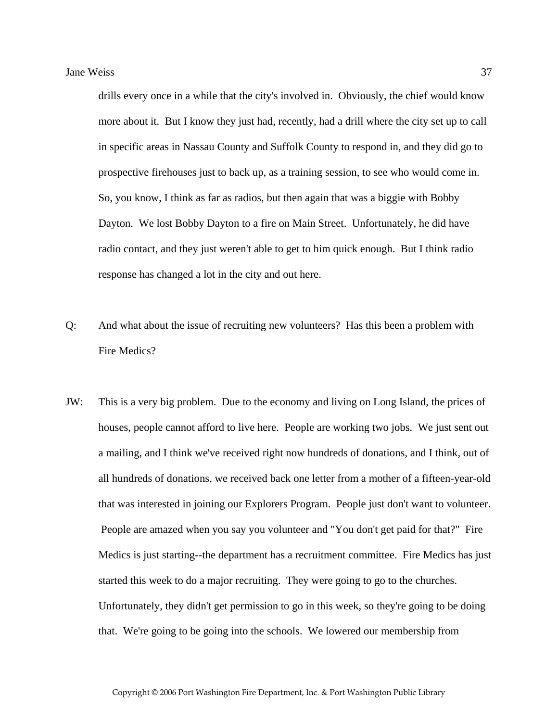drills every once in a while that the city's involved in. Obviously, the chief would know more about it. But I know they just had, recently, had a drill where the city set up to call in specific areas in Nassau County and Suffolk County to respond in, and they did go to prospective firehouses just to back up, as a training session, to see who would come in. So, you know, I think as far as radios, but then again that was a biggie with Bobby Dayton. We lost Bobby Dayton to a fire on Main Street. Unfortunately, he did have radio contact, and they just weren't able to get to him quick enough. But I think radio response has changed a lot in the city and out here.

- Q: And what about the issue of recruiting new volunteers? Has this been a problem with Fire Medics?
- JW: This is a very big problem. Due to the economy and living on Long Island, the prices of houses, people cannot afford to live here. People are working two jobs. We just sent out a mailing, and I think we've received right now hundreds of donations, and I think, out of all hundreds of donations, we received back one letter from a mother of a fifteen-year-old that was interested in joining our Explorers Program. People just don't want to volunteer. People are amazed when you say you volunteer and "You don't get paid for that?" Fire Medics is just starting--the department has a recruitment committee. Fire Medics has just started this week to do a major recruiting. They were going to go to the churches. Unfortunately, they didn't get permission to go in this week, so they're going to be doing that. We're going to be going into the schools. We lowered our membership from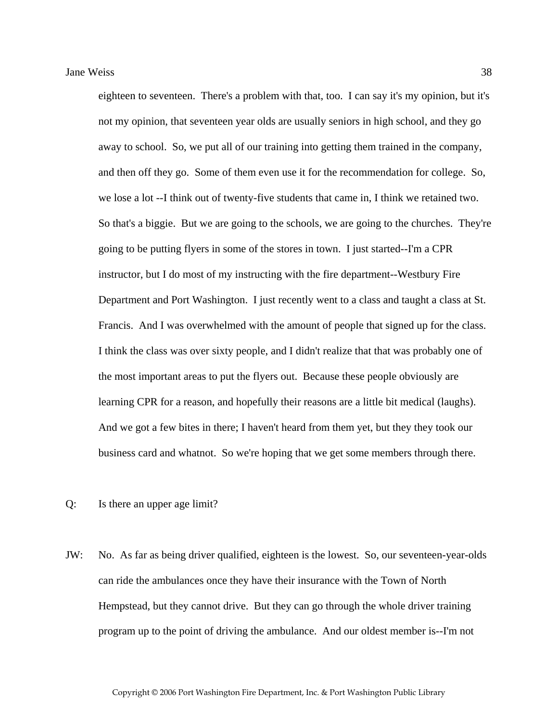eighteen to seventeen. There's a problem with that, too. I can say it's my opinion, but it's not my opinion, that seventeen year olds are usually seniors in high school, and they go away to school. So, we put all of our training into getting them trained in the company, and then off they go. Some of them even use it for the recommendation for college. So, we lose a lot --I think out of twenty-five students that came in, I think we retained two. So that's a biggie. But we are going to the schools, we are going to the churches. They're going to be putting flyers in some of the stores in town. I just started--I'm a CPR instructor, but I do most of my instructing with the fire department--Westbury Fire Department and Port Washington. I just recently went to a class and taught a class at St. Francis. And I was overwhelmed with the amount of people that signed up for the class. I think the class was over sixty people, and I didn't realize that that was probably one of the most important areas to put the flyers out. Because these people obviously are learning CPR for a reason, and hopefully their reasons are a little bit medical (laughs). And we got a few bites in there; I haven't heard from them yet, but they they took our business card and whatnot. So we're hoping that we get some members through there.

- Q: Is there an upper age limit?
- JW: No. As far as being driver qualified, eighteen is the lowest. So, our seventeen-year-olds can ride the ambulances once they have their insurance with the Town of North Hempstead, but they cannot drive. But they can go through the whole driver training program up to the point of driving the ambulance. And our oldest member is--I'm not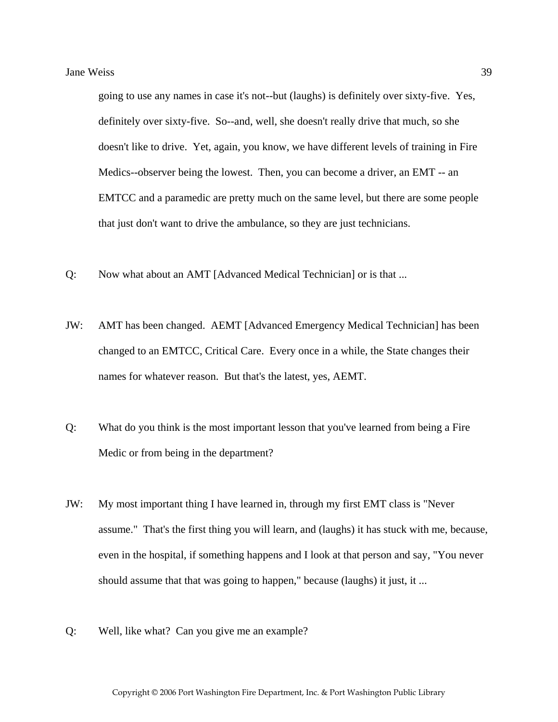going to use any names in case it's not--but (laughs) is definitely over sixty-five. Yes, definitely over sixty-five. So--and, well, she doesn't really drive that much, so she doesn't like to drive. Yet, again, you know, we have different levels of training in Fire Medics--observer being the lowest. Then, you can become a driver, an EMT -- an EMTCC and a paramedic are pretty much on the same level, but there are some people that just don't want to drive the ambulance, so they are just technicians.

- Q: Now what about an AMT [Advanced Medical Technician] or is that ...
- JW: AMT has been changed. AEMT [Advanced Emergency Medical Technician] has been changed to an EMTCC, Critical Care. Every once in a while, the State changes their names for whatever reason. But that's the latest, yes, AEMT.
- Q: What do you think is the most important lesson that you've learned from being a Fire Medic or from being in the department?
- JW: My most important thing I have learned in, through my first EMT class is "Never assume." That's the first thing you will learn, and (laughs) it has stuck with me, because, even in the hospital, if something happens and I look at that person and say, "You never should assume that that was going to happen," because (laughs) it just, it ...
- Q: Well, like what? Can you give me an example?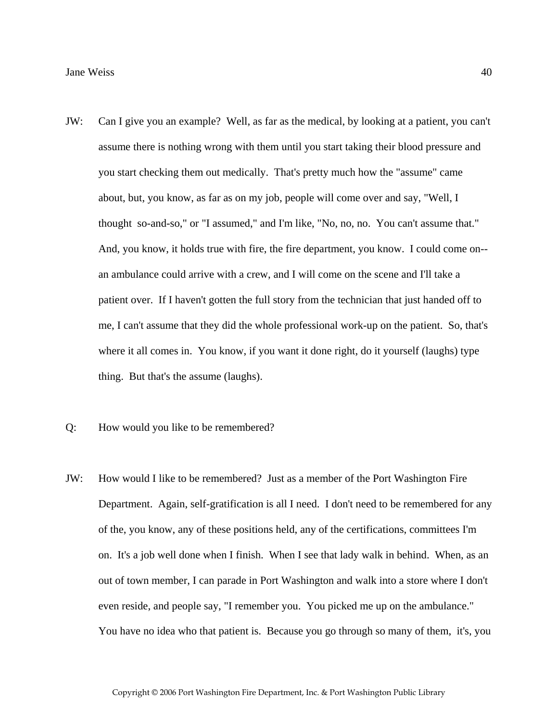- JW: Can I give you an example? Well, as far as the medical, by looking at a patient, you can't assume there is nothing wrong with them until you start taking their blood pressure and you start checking them out medically. That's pretty much how the "assume" came about, but, you know, as far as on my job, people will come over and say, "Well, I thought so-and-so," or "I assumed," and I'm like, "No, no, no. You can't assume that." And, you know, it holds true with fire, the fire department, you know. I could come on- an ambulance could arrive with a crew, and I will come on the scene and I'll take a patient over. If I haven't gotten the full story from the technician that just handed off to me, I can't assume that they did the whole professional work-up on the patient. So, that's where it all comes in. You know, if you want it done right, do it yourself (laughs) type thing. But that's the assume (laughs).
- Q: How would you like to be remembered?
- JW: How would I like to be remembered? Just as a member of the Port Washington Fire Department. Again, self-gratification is all I need. I don't need to be remembered for any of the, you know, any of these positions held, any of the certifications, committees I'm on. It's a job well done when I finish. When I see that lady walk in behind. When, as an out of town member, I can parade in Port Washington and walk into a store where I don't even reside, and people say, "I remember you. You picked me up on the ambulance." You have no idea who that patient is. Because you go through so many of them, it's, you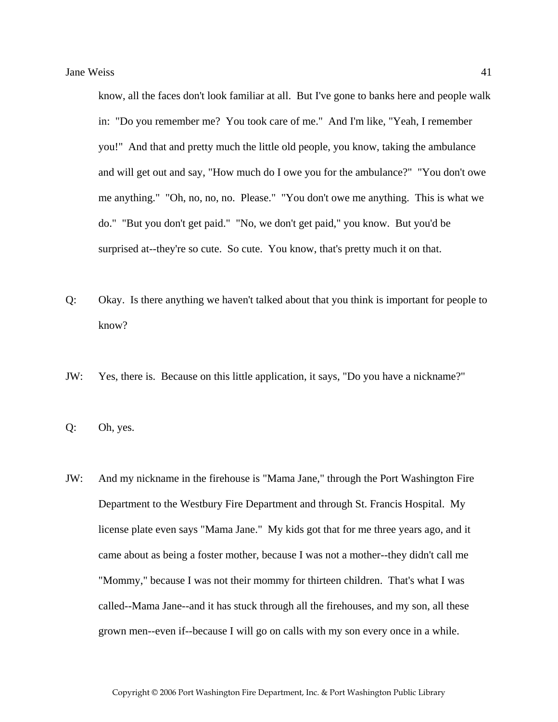know, all the faces don't look familiar at all. But I've gone to banks here and people walk in: "Do you remember me? You took care of me." And I'm like, "Yeah, I remember you!" And that and pretty much the little old people, you know, taking the ambulance and will get out and say, "How much do I owe you for the ambulance?" "You don't owe me anything." "Oh, no, no, no. Please." "You don't owe me anything. This is what we do." "But you don't get paid." "No, we don't get paid," you know. But you'd be surprised at--they're so cute. So cute. You know, that's pretty much it on that.

- Q: Okay. Is there anything we haven't talked about that you think is important for people to know?
- JW: Yes, there is. Because on this little application, it says, "Do you have a nickname?"
- Q: Oh, yes.
- JW: And my nickname in the firehouse is "Mama Jane," through the Port Washington Fire Department to the Westbury Fire Department and through St. Francis Hospital. My license plate even says "Mama Jane." My kids got that for me three years ago, and it came about as being a foster mother, because I was not a mother--they didn't call me "Mommy," because I was not their mommy for thirteen children. That's what I was called--Mama Jane--and it has stuck through all the firehouses, and my son, all these grown men--even if--because I will go on calls with my son every once in a while.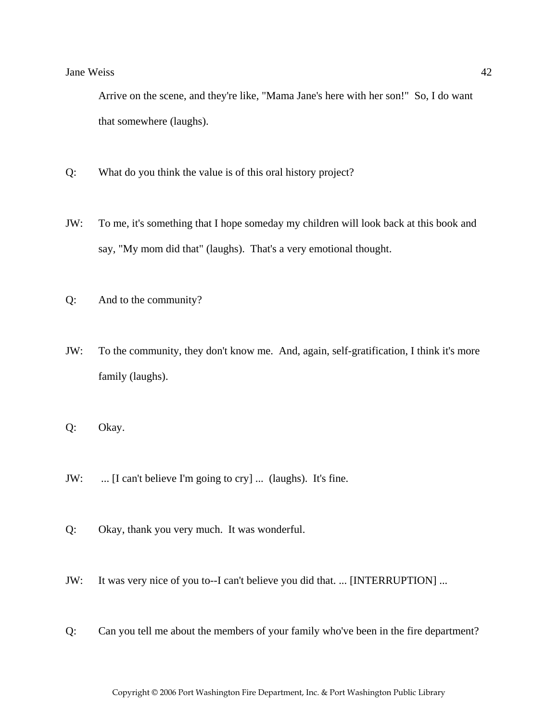Arrive on the scene, and they're like, "Mama Jane's here with her son!" So, I do want that somewhere (laughs).

- Q: What do you think the value is of this oral history project?
- JW: To me, it's something that I hope someday my children will look back at this book and say, "My mom did that" (laughs). That's a very emotional thought.
- Q: And to the community?
- JW: To the community, they don't know me. And, again, self-gratification, I think it's more family (laughs).
- Q: Okay.
- JW: ... [I can't believe I'm going to cry] ... (laughs). It's fine.
- Q: Okay, thank you very much. It was wonderful.
- JW: It was very nice of you to--I can't believe you did that. ... [INTERRUPTION] ...
- Q: Can you tell me about the members of your family who've been in the fire department?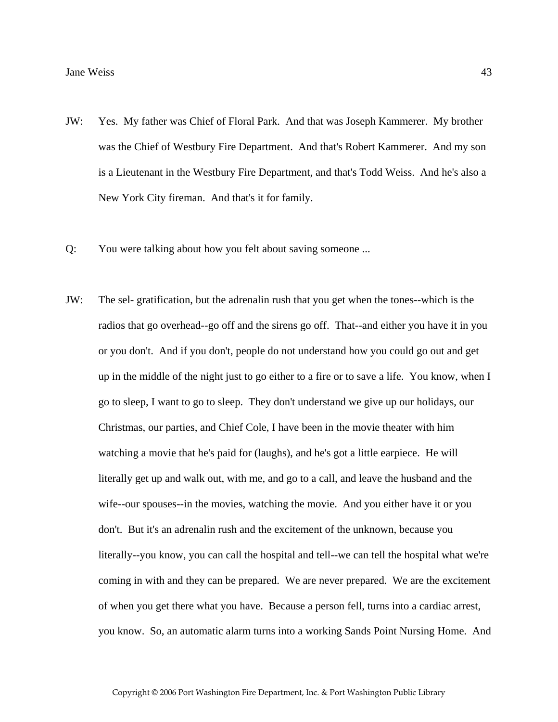- JW: Yes. My father was Chief of Floral Park. And that was Joseph Kammerer. My brother was the Chief of Westbury Fire Department. And that's Robert Kammerer. And my son is a Lieutenant in the Westbury Fire Department, and that's Todd Weiss. And he's also a New York City fireman. And that's it for family.
- Q: You were talking about how you felt about saving someone ...
- JW: The sel- gratification, but the adrenalin rush that you get when the tones--which is the radios that go overhead--go off and the sirens go off. That--and either you have it in you or you don't. And if you don't, people do not understand how you could go out and get up in the middle of the night just to go either to a fire or to save a life. You know, when I go to sleep, I want to go to sleep. They don't understand we give up our holidays, our Christmas, our parties, and Chief Cole, I have been in the movie theater with him watching a movie that he's paid for (laughs), and he's got a little earpiece. He will literally get up and walk out, with me, and go to a call, and leave the husband and the wife--our spouses--in the movies, watching the movie. And you either have it or you don't. But it's an adrenalin rush and the excitement of the unknown, because you literally--you know, you can call the hospital and tell--we can tell the hospital what we're coming in with and they can be prepared. We are never prepared. We are the excitement of when you get there what you have. Because a person fell, turns into a cardiac arrest, you know. So, an automatic alarm turns into a working Sands Point Nursing Home. And